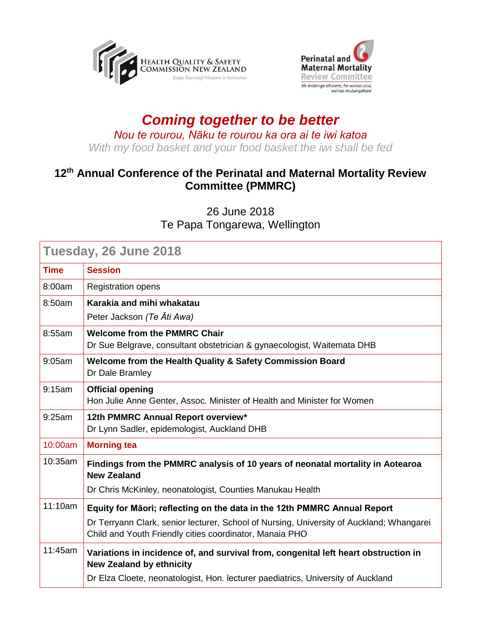



## *Coming together to be better Nou te rourou, Nāku te rourou ka ora ai te iwi katoa With my food basket and your food basket the iwi shall be fed*

## **12th Annual Conference of the Perinatal and Maternal Mortality Review Committee (PMMRC)**

26 June 2018 Te Papa Tongarewa, Wellington

| Tuesday, 26 June 2018 |                                                                                                                                                                                                                                 |  |
|-----------------------|---------------------------------------------------------------------------------------------------------------------------------------------------------------------------------------------------------------------------------|--|
| <b>Time</b>           | <b>Session</b>                                                                                                                                                                                                                  |  |
| 8:00am                | <b>Registration opens</b>                                                                                                                                                                                                       |  |
| 8:50am                | Karakia and mihi whakatau                                                                                                                                                                                                       |  |
|                       | Peter Jackson (Te Ati Awa)                                                                                                                                                                                                      |  |
| 8:55am                | <b>Welcome from the PMMRC Chair</b><br>Dr Sue Belgrave, consultant obstetrician & gynaecologist, Waitemata DHB                                                                                                                  |  |
| 9:05am                | Welcome from the Health Quality & Safety Commission Board<br>Dr Dale Bramley                                                                                                                                                    |  |
| 9:15am                | <b>Official opening</b><br>Hon Julie Anne Genter, Assoc. Minister of Health and Minister for Women                                                                                                                              |  |
| 9:25am                | 12th PMMRC Annual Report overview*<br>Dr Lynn Sadler, epidemologist, Auckland DHB                                                                                                                                               |  |
| 10:00am               | <b>Morning tea</b>                                                                                                                                                                                                              |  |
| 10:35am               | Findings from the PMMRC analysis of 10 years of neonatal mortality in Aotearoa<br><b>New Zealand</b><br>Dr Chris McKinley, neonatologist, Counties Manukau Health                                                               |  |
| 11:10am               | Equity for Māori; reflecting on the data in the 12th PMMRC Annual Report<br>Dr Terryann Clark, senior lecturer, School of Nursing, University of Auckland; Whangarei<br>Child and Youth Friendly cities coordinator, Manaia PHO |  |
| 11:45am               | Variations in incidence of, and survival from, congenital left heart obstruction in<br><b>New Zealand by ethnicity</b><br>Dr Elza Cloete, neonatologist, Hon. lecturer paediatrics, University of Auckland                      |  |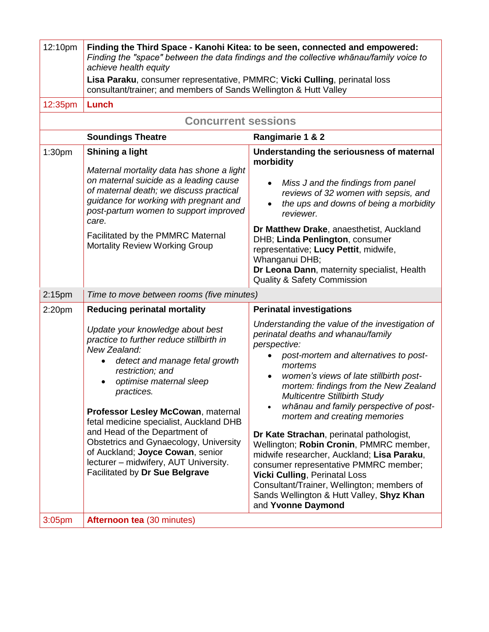| 12:10pm                                      | Finding the Third Space - Kanohi Kitea: to be seen, connected and empowered:<br>Finding the "space" between the data findings and the collective whanau/family voice to<br>achieve health equity                                                                                                                                                                                                                                                                       |                                                                                                                                                                                                                                                                                                                                                                                                                                                                                                                                                                                                                                                                                                                                |  |  |
|----------------------------------------------|------------------------------------------------------------------------------------------------------------------------------------------------------------------------------------------------------------------------------------------------------------------------------------------------------------------------------------------------------------------------------------------------------------------------------------------------------------------------|--------------------------------------------------------------------------------------------------------------------------------------------------------------------------------------------------------------------------------------------------------------------------------------------------------------------------------------------------------------------------------------------------------------------------------------------------------------------------------------------------------------------------------------------------------------------------------------------------------------------------------------------------------------------------------------------------------------------------------|--|--|
|                                              | Lisa Paraku, consumer representative, PMMRC; Vicki Culling, perinatal loss<br>consultant/trainer; and members of Sands Wellington & Hutt Valley                                                                                                                                                                                                                                                                                                                        |                                                                                                                                                                                                                                                                                                                                                                                                                                                                                                                                                                                                                                                                                                                                |  |  |
| 12:35pm                                      | Lunch                                                                                                                                                                                                                                                                                                                                                                                                                                                                  |                                                                                                                                                                                                                                                                                                                                                                                                                                                                                                                                                                                                                                                                                                                                |  |  |
| <b>Concurrent sessions</b>                   |                                                                                                                                                                                                                                                                                                                                                                                                                                                                        |                                                                                                                                                                                                                                                                                                                                                                                                                                                                                                                                                                                                                                                                                                                                |  |  |
| <b>Soundings Theatre</b><br>Rangimarie 1 & 2 |                                                                                                                                                                                                                                                                                                                                                                                                                                                                        |                                                                                                                                                                                                                                                                                                                                                                                                                                                                                                                                                                                                                                                                                                                                |  |  |
| 1:30 <sub>pm</sub>                           | Shining a light<br>Maternal mortality data has shone a light<br>on maternal suicide as a leading cause<br>of maternal death; we discuss practical<br>guidance for working with pregnant and<br>post-partum women to support improved<br>care.<br>Facilitated by the PMMRC Maternal<br><b>Mortality Review Working Group</b>                                                                                                                                            | Understanding the seriousness of maternal<br>morbidity<br>Miss J and the findings from panel<br>reviews of 32 women with sepsis, and<br>the ups and downs of being a morbidity<br>$\bullet$<br>reviewer.<br>Dr Matthew Drake, anaesthetist, Auckland<br>DHB; Linda Penlington, consumer<br>representative; Lucy Pettit, midwife,<br>Whanganui DHB;<br>Dr Leona Dann, maternity specialist, Health<br><b>Quality &amp; Safety Commission</b>                                                                                                                                                                                                                                                                                    |  |  |
| 2:15 <sub>pm</sub>                           | Time to move between rooms (five minutes)                                                                                                                                                                                                                                                                                                                                                                                                                              |                                                                                                                                                                                                                                                                                                                                                                                                                                                                                                                                                                                                                                                                                                                                |  |  |
| 2:20pm                                       | <b>Reducing perinatal mortality</b>                                                                                                                                                                                                                                                                                                                                                                                                                                    | <b>Perinatal investigations</b>                                                                                                                                                                                                                                                                                                                                                                                                                                                                                                                                                                                                                                                                                                |  |  |
|                                              | Update your knowledge about best<br>practice to further reduce stillbirth in<br>New Zealand:<br>detect and manage fetal growth<br>restriction; and<br>optimise maternal sleep<br>practices.<br>Professor Lesley McCowan, maternal<br>fetal medicine specialist, Auckland DHB<br>and Head of the Department of<br>Obstetrics and Gynaecology, University<br>of Auckland; Joyce Cowan, senior<br>lecturer - midwifery, AUT University.<br>Facilitated by Dr Sue Belgrave | Understanding the value of the investigation of<br>perinatal deaths and whanau/family<br>perspective:<br>post-mortem and alternatives to post-<br>mortems<br>women's views of late stillbirth post-<br>$\bullet$<br>mortem: findings from the New Zealand<br><b>Multicentre Stillbirth Study</b><br>whānau and family perspective of post-<br>$\bullet$<br>mortem and creating memories<br>Dr Kate Strachan, perinatal pathologist,<br>Wellington; Robin Cronin, PMMRC member,<br>midwife researcher, Auckland; Lisa Paraku,<br>consumer representative PMMRC member;<br><b>Vicki Culling, Perinatal Loss</b><br>Consultant/Trainer, Wellington; members of<br>Sands Wellington & Hutt Valley, Shyz Khan<br>and Yvonne Daymond |  |  |
| 3:05 <sub>pm</sub>                           | <b>Afternoon tea (30 minutes)</b>                                                                                                                                                                                                                                                                                                                                                                                                                                      |                                                                                                                                                                                                                                                                                                                                                                                                                                                                                                                                                                                                                                                                                                                                |  |  |